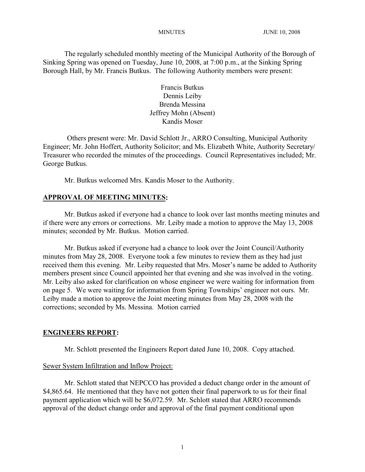The regularly scheduled monthly meeting of the Municipal Authority of the Borough of Sinking Spring was opened on Tuesday, June 10, 2008, at 7:00 p.m., at the Sinking Spring Borough Hall, by Mr. Francis Butkus. The following Authority members were present:

> Francis Butkus Dennis Leiby Brenda Messina Jeffrey Mohn (Absent) Kandis Moser

Others present were: Mr. David Schlott Jr., ARRO Consulting, Municipal Authority Engineer; Mr. John Hoffert, Authority Solicitor; and Ms. Elizabeth White, Authority Secretary/ Treasurer who recorded the minutes of the proceedings. Council Representatives included; Mr. George Butkus.

Mr. Butkus welcomed Mrs. Kandis Moser to the Authority.

#### **APPROVAL OF MEETING MINUTES:**

Mr. Butkus asked if everyone had a chance to look over last months meeting minutes and if there were any errors or corrections. Mr. Leiby made a motion to approve the May 13, 2008 minutes; seconded by Mr. Butkus. Motion carried.

Mr. Butkus asked if everyone had a chance to look over the Joint Council/Authority minutes from May 28, 2008. Everyone took a few minutes to review them as they had just received them this evening. Mr. Leiby requested that Mrs. Moser's name be added to Authority members present since Council appointed her that evening and she was involved in the voting. Mr. Leiby also asked for clarification on whose engineer we were waiting for information from on page 5. We were waiting for information from Spring Townships' engineer not ours. Mr. Leiby made a motion to approve the Joint meeting minutes from May 28, 2008 with the corrections; seconded by Ms. Messina. Motion carried

#### **ENGINEERS REPORT:**

Mr. Schlott presented the Engineers Report dated June 10, 2008. Copy attached.

#### Sewer System Infiltration and Inflow Project:

Mr. Schlott stated that NEPCCO has provided a deduct change order in the amount of \$4,865.64. He mentioned that they have not gotten their final paperwork to us for their final payment application which will be \$6,072.59. Mr. Schlott stated that ARRO recommends approval of the deduct change order and approval of the final payment conditional upon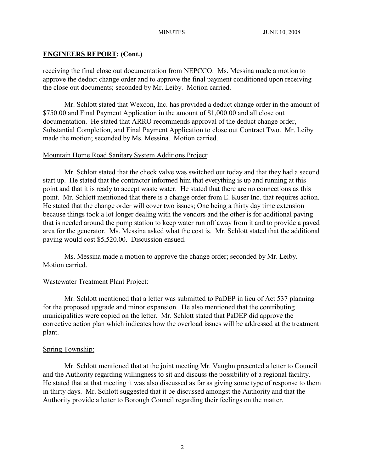receiving the final close out documentation from NEPCCO. Ms. Messina made a motion to approve the deduct change order and to approve the final payment conditioned upon receiving the close out documents; seconded by Mr. Leiby. Motion carried.

Mr. Schlott stated that Wexcon, Inc. has provided a deduct change order in the amount of \$750.00 and Final Payment Application in the amount of \$1,000.00 and all close out documentation. He stated that ARRO recommends approval of the deduct change order, Substantial Completion, and Final Payment Application to close out Contract Two. Mr. Leiby made the motion; seconded by Ms. Messina. Motion carried.

## Mountain Home Road Sanitary System Additions Project:

Mr. Schlott stated that the check valve was switched out today and that they had a second start up. He stated that the contractor informed him that everything is up and running at this point and that it is ready to accept waste water. He stated that there are no connections as this point. Mr. Schlott mentioned that there is a change order from E. Kuser Inc. that requires action. He stated that the change order will cover two issues; One being a thirty day time extension because things took a lot longer dealing with the vendors and the other is for additional paving that is needed around the pump station to keep water run off away from it and to provide a paved area for the generator. Ms. Messina asked what the cost is. Mr. Schlott stated that the additional paving would cost \$5,520.00. Discussion ensued.

Ms. Messina made a motion to approve the change order; seconded by Mr. Leiby. Motion carried.

## Wastewater Treatment Plant Project:

Mr. Schlott mentioned that a letter was submitted to PaDEP in lieu of Act 537 planning for the proposed upgrade and minor expansion. He also mentioned that the contributing municipalities were copied on the letter. Mr. Schlott stated that PaDEP did approve the corrective action plan which indicates how the overload issues will be addressed at the treatment plant.

## Spring Township:

Mr. Schlott mentioned that at the joint meeting Mr. Vaughn presented a letter to Council and the Authority regarding willingness to sit and discuss the possibility of a regional facility. He stated that at that meeting it was also discussed as far as giving some type of response to them in thirty days. Mr. Schlott suggested that it be discussed amongst the Authority and that the Authority provide a letter to Borough Council regarding their feelings on the matter.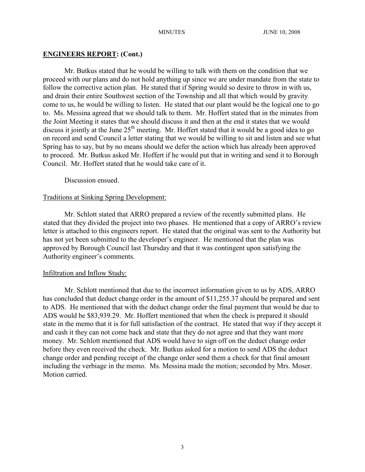Mr. Butkus stated that he would be willing to talk with them on the condition that we proceed with our plans and do not hold anything up since we are under mandate from the state to follow the corrective action plan. He stated that if Spring would so desire to throw in with us, and drain their entire Southwest section of the Township and all that which would by gravity come to us, he would be willing to listen. He stated that our plant would be the logical one to go to. Ms. Messina agreed that we should talk to them. Mr. Hoffert stated that in the minutes from the Joint Meeting it states that we should discuss it and then at the end it states that we would discuss it jointly at the June  $25<sup>th</sup>$  meeting. Mr. Hoffert stated that it would be a good idea to go on record and send Council a letter stating that we would be willing to sit and listen and see what Spring has to say, but by no means should we defer the action which has already been approved to proceed. Mr. Butkus asked Mr. Hoffert if he would put that in writing and send it to Borough Council. Mr. Hoffert stated that he would take care of it.

Discussion ensued.

#### Traditions at Sinking Spring Development:

Mr. Schlott stated that ARRO prepared a review of the recently submitted plans. He stated that they divided the project into two phases. He mentioned that a copy of ARRO's review letter is attached to this engineers report. He stated that the original was sent to the Authority but has not yet been submitted to the developer's engineer. He mentioned that the plan was approved by Borough Council last Thursday and that it was contingent upon satisfying the Authority engineer's comments.

#### Infiltration and Inflow Study:

Mr. Schlott mentioned that due to the incorrect information given to us by ADS, ARRO has concluded that deduct change order in the amount of \$11,255.37 should be prepared and sent to ADS. He mentioned that with the deduct change order the final payment that would be due to ADS would be \$83,939.29. Mr. Hoffert mentioned that when the check is prepared it should state in the memo that it is for full satisfaction of the contract. He stated that way if they accept it and cash it they can not come back and state that they do not agree and that they want more money. Mr. Schlott mentioned that ADS would have to sign off on the deduct change order before they even received the check. Mr. Butkus asked for a motion to send ADS the deduct change order and pending receipt of the change order send them a check for that final amount including the verbiage in the memo. Ms. Messina made the motion; seconded by Mrs. Moser. Motion carried.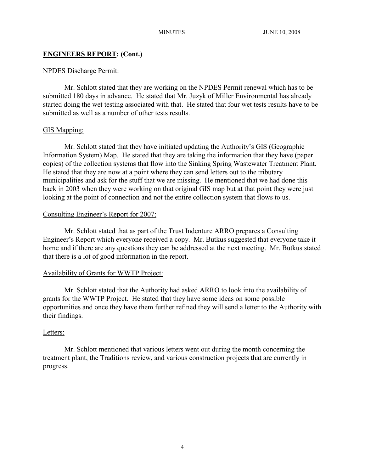#### NPDES Discharge Permit:

Mr. Schlott stated that they are working on the NPDES Permit renewal which has to be submitted 180 days in advance. He stated that Mr. Juzyk of Miller Environmental has already started doing the wet testing associated with that. He stated that four wet tests results have to be submitted as well as a number of other tests results.

#### GIS Mapping:

Mr. Schlott stated that they have initiated updating the Authority's GIS (Geographic Information System) Map. He stated that they are taking the information that they have (paper copies) of the collection systems that flow into the Sinking Spring Wastewater Treatment Plant. He stated that they are now at a point where they can send letters out to the tributary municipalities and ask for the stuff that we are missing. He mentioned that we had done this back in 2003 when they were working on that original GIS map but at that point they were just looking at the point of connection and not the entire collection system that flows to us.

#### Consulting Engineer's Report for 2007:

Mr. Schlott stated that as part of the Trust Indenture ARRO prepares a Consulting Engineer's Report which everyone received a copy. Mr. Butkus suggested that everyone take it home and if there are any questions they can be addressed at the next meeting. Mr. Butkus stated that there is a lot of good information in the report.

## Availability of Grants for WWTP Project:

Mr. Schlott stated that the Authority had asked ARRO to look into the availability of grants for the WWTP Project. He stated that they have some ideas on some possible opportunities and once they have them further refined they will send a letter to the Authority with their findings.

## Letters:

Mr. Schlott mentioned that various letters went out during the month concerning the treatment plant, the Traditions review, and various construction projects that are currently in progress.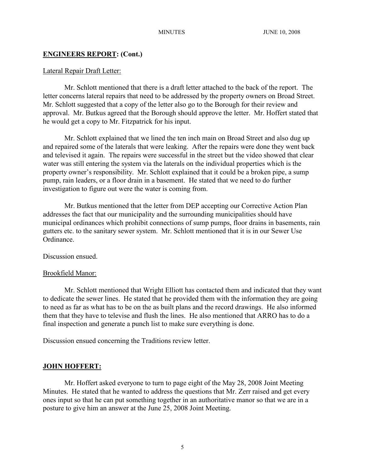#### Lateral Repair Draft Letter:

Mr. Schlott mentioned that there is a draft letter attached to the back of the report. The letter concerns lateral repairs that need to be addressed by the property owners on Broad Street. Mr. Schlott suggested that a copy of the letter also go to the Borough for their review and approval. Mr. Butkus agreed that the Borough should approve the letter. Mr. Hoffert stated that he would get a copy to Mr. Fitzpatrick for his input.

Mr. Schlott explained that we lined the ten inch main on Broad Street and also dug up and repaired some of the laterals that were leaking. After the repairs were done they went back and televised it again. The repairs were successful in the street but the video showed that clear water was still entering the system via the laterals on the individual properties which is the property owner's responsibility. Mr. Schlott explained that it could be a broken pipe, a sump pump, rain leaders, or a floor drain in a basement. He stated that we need to do further investigation to figure out were the water is coming from.

Mr. Butkus mentioned that the letter from DEP accepting our Corrective Action Plan addresses the fact that our municipality and the surrounding municipalities should have municipal ordinances which prohibit connections of sump pumps, floor drains in basements, rain gutters etc. to the sanitary sewer system. Mr. Schlott mentioned that it is in our Sewer Use Ordinance.

Discussion ensued.

#### Brookfield Manor:

Mr. Schlott mentioned that Wright Elliott has contacted them and indicated that they want to dedicate the sewer lines. He stated that he provided them with the information they are going to need as far as what has to be on the as built plans and the record drawings. He also informed them that they have to televise and flush the lines. He also mentioned that ARRO has to do a final inspection and generate a punch list to make sure everything is done.

Discussion ensued concerning the Traditions review letter.

## **JOHN HOFFERT:**

Mr. Hoffert asked everyone to turn to page eight of the May 28, 2008 Joint Meeting Minutes. He stated that he wanted to address the questions that Mr. Zerr raised and get every ones input so that he can put something together in an authoritative manor so that we are in a posture to give him an answer at the June 25, 2008 Joint Meeting.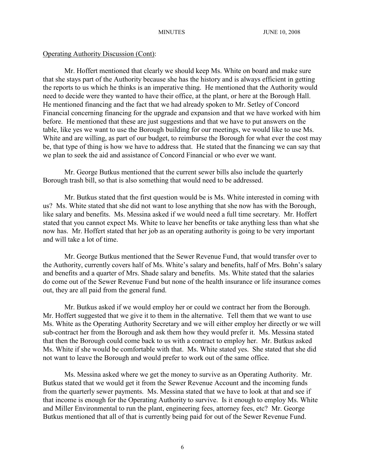Mr. Hoffert mentioned that clearly we should keep Ms. White on board and make sure that she stays part of the Authority because she has the history and is always efficient in getting the reports to us which he thinks is an imperative thing. He mentioned that the Authority would need to decide were they wanted to have their office, at the plant, or here at the Borough Hall. He mentioned financing and the fact that we had already spoken to Mr. Setley of Concord Financial concerning financing for the upgrade and expansion and that we have worked with him before. He mentioned that these are just suggestions and that we have to put answers on the table, like yes we want to use the Borough building for our meetings, we would like to use Ms. White and are willing, as part of our budget, to reimburse the Borough for what ever the cost may be, that type of thing is how we have to address that. He stated that the financing we can say that we plan to seek the aid and assistance of Concord Financial or who ever we want.

Mr. George Butkus mentioned that the current sewer bills also include the quarterly Borough trash bill, so that is also something that would need to be addressed.

Mr. Butkus stated that the first question would be is Ms. White interested in coming with us? Ms. White stated that she did not want to lose anything that she now has with the Borough, like salary and benefits. Ms. Messina asked if we would need a full time secretary. Mr. Hoffert stated that you cannot expect Ms. White to leave her benefits or take anything less than what she now has. Mr. Hoffert stated that her job as an operating authority is going to be very important and will take a lot of time.

Mr. George Butkus mentioned that the Sewer Revenue Fund, that would transfer over to the Authority, currently covers half of Ms. White's salary and benefits, half of Mrs. Bohn's salary and benefits and a quarter of Mrs. Shade salary and benefits. Ms. White stated that the salaries do come out of the Sewer Revenue Fund but none of the health insurance or life insurance comes out, they are all paid from the general fund.

Mr. Butkus asked if we would employ her or could we contract her from the Borough. Mr. Hoffert suggested that we give it to them in the alternative. Tell them that we want to use Ms. White as the Operating Authority Secretary and we will either employ her directly or we will sub-contract her from the Borough and ask them how they would prefer it. Ms. Messina stated that then the Borough could come back to us with a contract to employ her. Mr. Butkus asked Ms. White if she would be comfortable with that. Ms. White stated yes. She stated that she did not want to leave the Borough and would prefer to work out of the same office.

Ms. Messina asked where we get the money to survive as an Operating Authority. Mr. Butkus stated that we would get it from the Sewer Revenue Account and the incoming funds from the quarterly sewer payments. Ms. Messina stated that we have to look at that and see if that income is enough for the Operating Authority to survive. Is it enough to employ Ms. White and Miller Environmental to run the plant, engineering fees, attorney fees, etc? Mr. George Butkus mentioned that all of that is currently being paid for out of the Sewer Revenue Fund.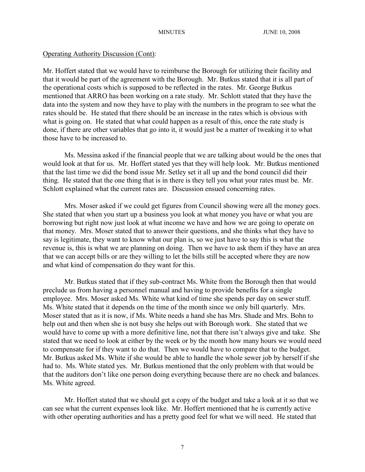Mr. Hoffert stated that we would have to reimburse the Borough for utilizing their facility and that it would be part of the agreement with the Borough. Mr. Butkus stated that it is all part of the operational costs which is supposed to be reflected in the rates. Mr. George Butkus mentioned that ARRO has been working on a rate study. Mr. Schlott stated that they have the data into the system and now they have to play with the numbers in the program to see what the rates should be. He stated that there should be an increase in the rates which is obvious with what is going on. He stated that what could happen as a result of this, once the rate study is done, if there are other variables that go into it, it would just be a matter of tweaking it to what those have to be increased to.

Ms. Messina asked if the financial people that we are talking about would be the ones that would look at that for us. Mr. Hoffert stated yes that they will help look. Mr. Butkus mentioned that the last time we did the bond issue Mr. Setley set it all up and the bond council did their thing. He stated that the one thing that is in there is they tell you what your rates must be. Mr. Schlott explained what the current rates are. Discussion ensued concerning rates.

Mrs. Moser asked if we could get figures from Council showing were all the money goes. She stated that when you start up a business you look at what money you have or what you are borrowing but right now just look at what income we have and how we are going to operate on that money. Mrs. Moser stated that to answer their questions, and she thinks what they have to say is legitimate, they want to know what our plan is, so we just have to say this is what the revenue is, this is what we are planning on doing. Then we have to ask them if they have an area that we can accept bills or are they willing to let the bills still be accepted where they are now and what kind of compensation do they want for this.

Mr. Butkus stated that if they sub-contract Ms. White from the Borough then that would preclude us from having a personnel manual and having to provide benefits for a single employee. Mrs. Moser asked Ms. White what kind of time she spends per day on sewer stuff. Ms. White stated that it depends on the time of the month since we only bill quarterly. Mrs. Moser stated that as it is now, if Ms. White needs a hand she has Mrs. Shade and Mrs. Bohn to help out and then when she is not busy she helps out with Borough work. She stated that we would have to come up with a more definitive line, not that there isn't always give and take. She stated that we need to look at either by the week or by the month how many hours we would need to compensate for if they want to do that. Then we would have to compare that to the budget. Mr. Butkus asked Ms. White if she would be able to handle the whole sewer job by herself if she had to. Ms. White stated yes. Mr. Butkus mentioned that the only problem with that would be that the auditors don't like one person doing everything because there are no check and balances. Ms. White agreed.

Mr. Hoffert stated that we should get a copy of the budget and take a look at it so that we can see what the current expenses look like. Mr. Hoffert mentioned that he is currently active with other operating authorities and has a pretty good feel for what we will need. He stated that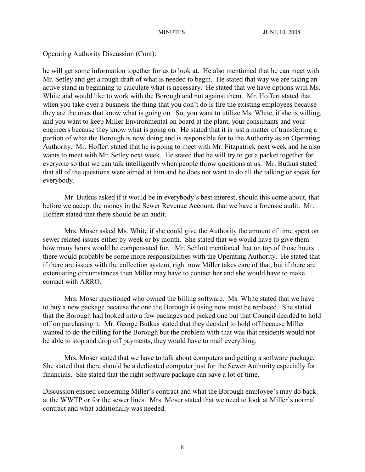he will get some information together for us to look at. He also mentioned that he can meet with Mr. Setley and get a rough draft of what is needed to begin. He stated that way we are taking an active stand in beginning to calculate what is necessary. He stated that we have options with Ms. White and would like to work with the Borough and not against them. Mr. Hoffert stated that when you take over a business the thing that you don't do is fire the existing employees because they are the ones that know what is going on. So, you want to utilize Ms. White, if she is willing, and you want to keep Miller Environmental on board at the plant, your consultants and your engineers because they know what is going on. He stated that it is just a matter of transferring a portion of what the Borough is now doing and is responsible for to the Authority as an Operating Authority. Mr. Hoffert stated that he is going to meet with Mr. Fitzpatrick next week and he also wants to meet with Mr. Setley next week. He stated that he will try to get a packet together for everyone so that we can talk intelligently when people throw questions at us. Mr. Butkus stated that all of the questions were aimed at him and he does not want to do all the talking or speak for everybody.

Mr. Butkus asked if it would be in everybody's best interest, should this come about, that before we accept the money in the Sewer Revenue Account, that we have a forensic audit. Mr. Hoffert stated that there should be an audit.

Mrs. Moser asked Ms. White if she could give the Authority the amount of time spent on sewer related issues either by week or by month. She stated that we would have to give them how many hours would be compensated for. Mr. Schlott mentioned that on top of those hours there would probably be some more responsibilities with the Operating Authority. He stated that if there are issues with the collection system, right now Miller takes care of that, but if there are extenuating circumstances then Miller may have to contact her and she would have to make contact with ARRO.

Mrs. Moser questioned who owned the billing software. Ms. White stated that we have to buy a new package because the one the Borough is using now must be replaced. She stated that the Borough had looked into a few packages and picked one but that Council decided to hold off on purchasing it. Mr. George Butkus stated that they decided to hold off because Miller wanted to do the billing for the Borough but the problem with that was that residents would not be able to stop and drop off payments, they would have to mail everything.

Mrs. Moser stated that we have to talk about computers and getting a software package. She stated that there should be a dedicated computer just for the Sewer Authority especially for financials. She stated that the right software package can save a lot of time.

Discussion ensued concerning Miller's contract and what the Borough employee's may do back at the WWTP or for the sewer lines. Mrs. Moser stated that we need to look at Miller's normal contract and what additionally was needed.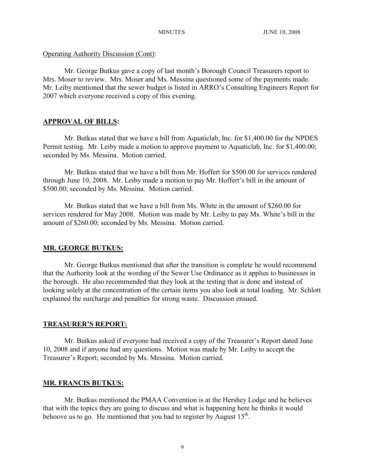Mr. George Butkus gave a copy of last month's Borough Council Treasurers report to Mrs. Moser to review. Mrs. Moser and Ms. Messina questioned some of the payments made. Mr. Leiby mentioned that the sewer budget is listed in ARRO's Consulting Engineers Report for 2007 which everyone received a copy of this evening.

## **APPROVAL OF BILLS:**

Mr. Butkus stated that we have a bill from Aquaticlab, Inc. for \$1,400.00 for the NPDES Permit testing. Mr. Leiby made a motion to approve payment to Aquaticlab, Inc. for \$1,400.00; seconded by Ms. Messina. Motion carried.

Mr. Butkus stated that we have a bill from Mr. Hoffert for \$500.00 for services rendered through June 10, 2008. Mr. Leiby made a motion to pay Mr. Hoffert's bill in the amount of \$500.00; seconded by Ms. Messina. Motion carried.

Mr. Butkus stated that we have a bill from Ms. White in the amount of \$260.00 for services rendered for May 2008. Motion was made by Mr. Leiby to pay Ms. White's bill in the amount of \$260.00; seconded by Ms. Messina. Motion carried.

## **MR. GEORGE BUTKUS:**

Mr. George Butkus mentioned that after the transition is complete he would recommend that the Authority look at the wording of the Sewer Use Ordinance as it applies to businesses in the borough. He also recommended that they look at the testing that is done and instead of looking solely at the concentration of the certain items you also look at total loading. Mr. Schlott explained the surcharge and penalties for strong waste. Discussion ensued.

## **TREASURER'S REPORT:**

Mr. Butkus asked if everyone had received a copy of the Treasurer's Report dated June 10, 2008 and if anyone had any questions. Motion was made by Mr. Leiby to accept the Treasurer's Report; seconded by Ms. Messina. Motion carried.

## **MR. FRANCIS BUTKUS:**

Mr. Butkus mentioned the PMAA Convention is at the Hershey Lodge and he believes that with the topics they are going to discuss and what is happening here he thinks it would behoove us to go. He mentioned that you had to register by August  $15<sup>th</sup>$ .